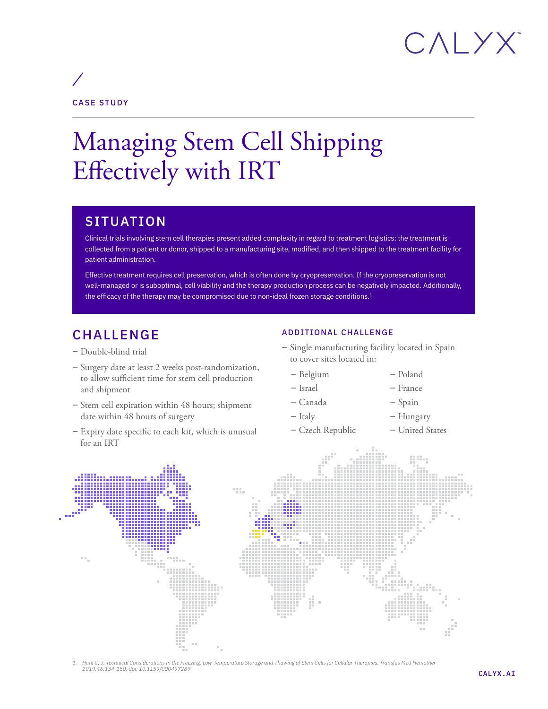# CALYX

### CASE STUDY

## Managing Stem Cell Shipping Effectively with IRT

### **SITUATION**

Clinical trials involving stem cell therapies present added complexity in regard to treatment logistics: the treatment is collected from a patient or donor, shipped to a manufacturing site, modified, and then shipped to the treatment facility for patient administration.

Effective treatment requires cell preservation, which is often done by cryopreservation. If the cryopreservation is not well-managed or is suboptimal, cell viability and the therapy production process can be negatively impacted. Additionally, the efficacy of the therapy may be compromised due to non-ideal frozen storage conditions.<sup>1</sup>

### CHALLENGE

- Double-blind trial
- Surgery date at least 2 weeks post-randomization, to allow sufficient time for stem cell production and shipment
- Stem cell expiration within 48 hours; shipment date within 48 hours of surgery
- Expiry date specific to each kit, which is unusual for an IRT

#### ADDITIONAL CHALLENGE

- Single manufacturing facility located in Spain to cover sites located in:
	- Belgium
	- Israel
- France – Spain

– Poland

- Canada
- Italy
- Hungary
- Czech Republic – United States



*1. Hunt C, J: Technical Considerations in the Freezing, Low-Temperature Storage and Thawing of Stem Cells for Cellular Therapies. Transfus Med Hemother 2019;46:134-150. doi: 10.1159/000497289*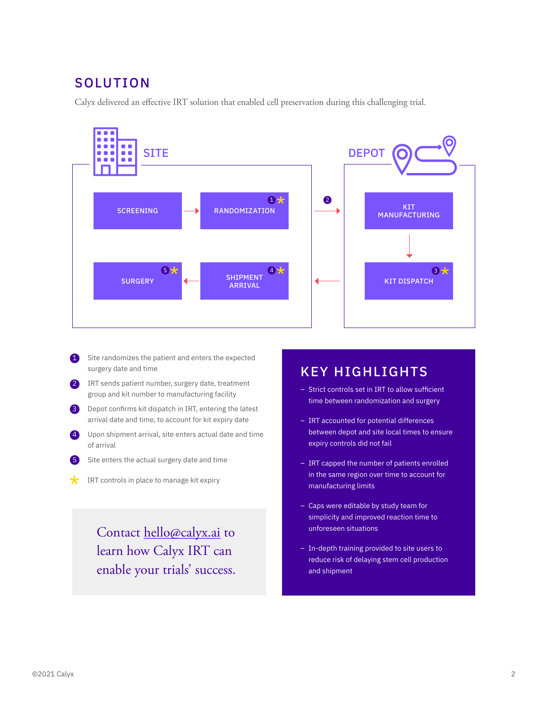### SOLUTION

Calyx delivered an effective IRT solution that enabled cell preservation during this challenging trial.



- 1 Site randomizes the patient and enters the expected surgery date and time
- 2 IRT sends patient number, surgery date, treatment group and kit number to manufacturing facility
- 3 Depot confirms kit dispatch in IRT, entering the latest arrival date and time, to account for kit expiry date
- 4 Upon shipment arrival, site enters actual date and time of arrival
	- 5 Site enters the actual surgery date and time
- $\star$ IRT controls in place to manage kit expiry

Contact [hello@calyx.ai](mailto:hello%40calyx.ai?subject=) to learn how Calyx IRT can enable your trials' success.

#### KEY HIGHLIGHTS

- Strict controls set in IRT to allow sufficient time between randomization and surgery
- IRT accounted for potential differences between depot and site local times to ensure expiry controls did not fail
- IRT capped the number of patients enrolled in the same region over time to account for manufacturing limits
- Caps were editable by study team for simplicity and improved reaction time to unforeseen situations
- In-depth training provided to site users to reduce risk of delaying stem cell production and shipment